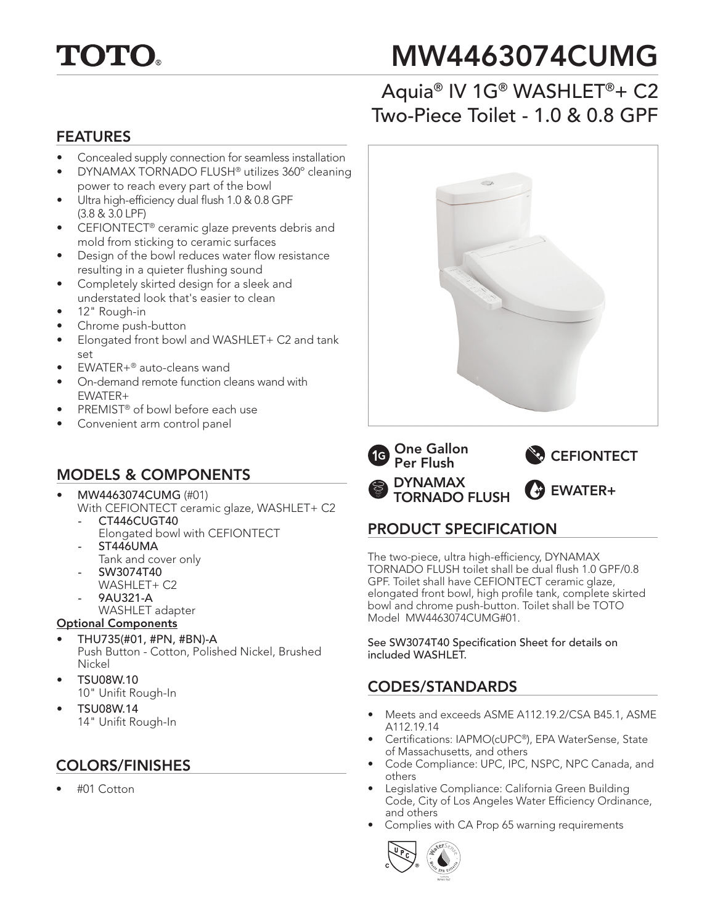

# MW4463074CUMG

## Aquia® IV 1G® WASHLET®+ C2 Two-Piece Toilet - 1.0 & 0.8 GPF

#### FEATURES

- Concealed supply connection for seamless installation
- DYNAMAX TORNADO FLUSH® utilizes 360º cleaning power to reach every part of the bowl
- Ultra high-efficiency dual flush 1.0 & 0.8 GPF (3.8 & 3.0 LPF)
- CEFIONTECT® ceramic glaze prevents debris and mold from sticking to ceramic surfaces
- Design of the bowl reduces water flow resistance resulting in a quieter flushing sound
- Completely skirted design for a sleek and understated look that's easier to clean
- 12" Rough-in
- Chrome push-button
- Elongated front bowl and WASHLET+ C2 and tank set
- EWATER+® auto-cleans wand
- On-demand remote function cleans wand with EWATER+
- PREMIST<sup>®</sup> of bowl before each use
- Convenient arm control panel

#### MODELS & COMPONENTS

- MW4463074CUMG (#01) With CEFIONTECT ceramic glaze, WASHLET+ C2
	- CT446CUGT40 Elongated bowl with CEFIONTECT *-* ST446UMA
	- Tank and cover only
	- SW3074T40 WASHLET+ C2
	- 9AU321-A
	- WASHLET adapter

#### Optional Components

- THU735(#01, #PN, #BN)-A Push Button - Cotton, Polished Nickel, Brushed Nickel
- TSU08W.10 10" Unifit Rough-In
- TSU08W.14 14" Unifit Rough-In

#### COLORS/FINISHES

• #01 Cotton





#### PRODUCT SPECIFICATION

The two-piece, ultra high-efficiency, DYNAMAX TORNADO FLUSH toilet shall be dual flush 1.0 GPF/0.8 GPF. Toilet shall have CEFIONTECT ceramic glaze, elongated front bowl, high profile tank, complete skirted bowl and chrome push-button. Toilet shall be TOTO Model MW4463074CUMG#01.

See SW3074T40 Specification Sheet for details on included WASHLET.

#### CODES/STANDARDS

- Meets and exceeds ASME A112.19.2/CSA B45.1, ASME A112.19.14
- Certifications: IAPMO(cUPC®), EPA WaterSense, State of Massachusetts, and others
- Code Compliance: UPC, IPC, NSPC, NPC Canada, and others
- Legislative Compliance: California Green Building Code, City of Los Angeles Water Efficiency Ordinance, and others
- Complies with CA Prop 65 warning requirements